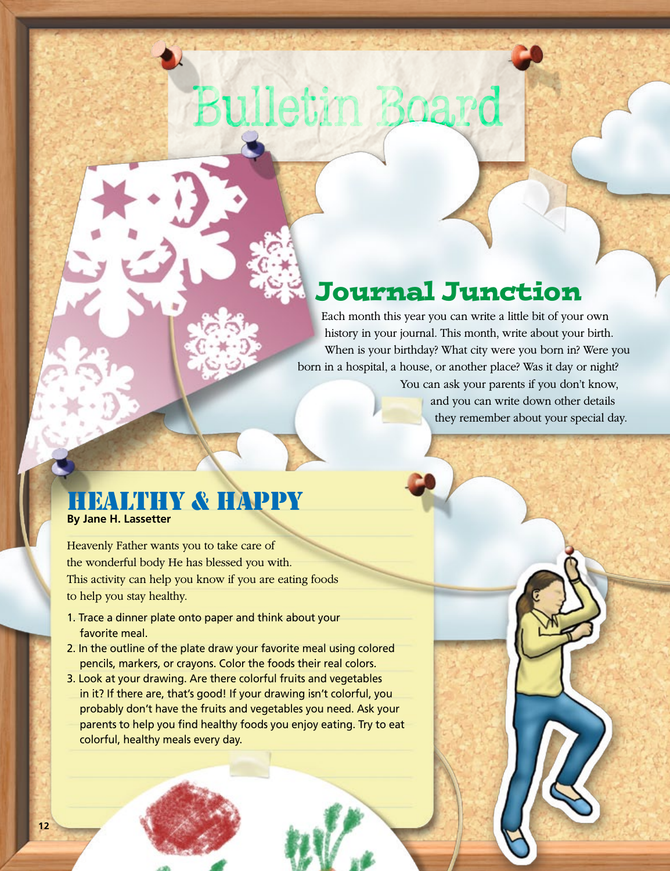# Bulletin Boar

### Journal Junction

Each month this year you can write a little bit of your own history in your journal. This month, write about your birth. When is your birthday? What city were you born in? Were you born in a hospital, a house, or another place? Was it day or night? You can ask your parents if you don't know,

and you can write down other details they remember about your special day.

### **BALTHY & HAPPY**

**By Jane H. Lassetter**

Heavenly Father wants you to take care of the wonderful body He has blessed you with. This activity can help you know if you are eating foods to help you stay healthy.

- 1. Trace a dinner plate onto paper and think about your favorite meal.
- 2. In the outline of the plate draw your favorite meal using colored pencils, markers, or crayons. Color the foods their real colors.
- 3. Look at your drawing. Are there colorful fruits and vegetables in it? If there are, that's good! If your drawing isn't colorful, you probably don't have the fruits and vegetables you need. Ask your parents to help you find healthy foods you enjoy eating. Try to eat colorful, healthy meals every day.